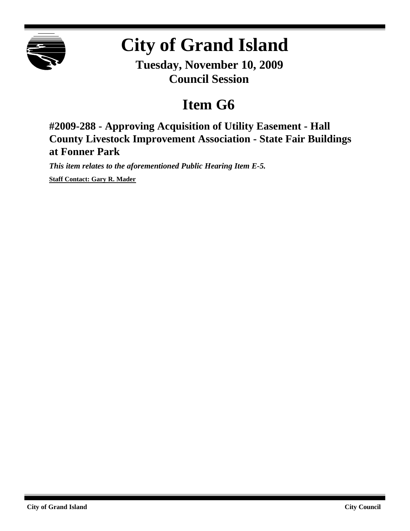

# **City of Grand Island**

**Tuesday, November 10, 2009 Council Session**

## **Item G6**

**#2009-288 - Approving Acquisition of Utility Easement - Hall County Livestock Improvement Association - State Fair Buildings at Fonner Park**

*This item relates to the aforementioned Public Hearing Item E-5.*

**Staff Contact: Gary R. Mader**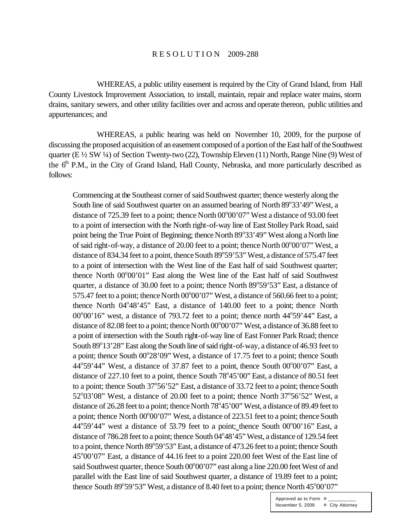#### R E S O L U T I O N 2009-288

WHEREAS, a public utility easement is required by the City of Grand Island, from Hall County Livestock Improvement Association, to install, maintain, repair and replace water mains, storm drains, sanitary sewers, and other utility facilities over and across and operate thereon, public utilities and appurtenances; and

WHEREAS, a public hearing was held on November 10, 2009, for the purpose of discussing the proposed acquisition of an easement composed of a portion of the East half of the Southwest quarter (E ½ SW ¼) of Section Twenty-two (22), Township Eleven (11) North, Range Nine (9) West of the 6<sup>th</sup> P.M., in the City of Grand Island, Hall County, Nebraska, and more particularly described as follows:

Commencing at the Southeast corner of said Southwest quarter; thence westerly along the South line of said Southwest quarter on an assumed bearing of North 89°33'49" West, a distance of 725.39 feet to a point; thence North  $00^{\circ}00'07''$  West a distance of 93.00 feet to a point of intersection with the North right-of-way line of East Stolley Park Road, said point being the True Point of Beginning; thence North 89°33'49" West along a North line of said right-of-way, a distance of 20.00 feet to a point; thence North 00°00'07" West, a distance of 834.34 feet to a point, thence South 89°59'53" West, a distance of 575.47 feet to a point of intersection with the West line of the East half of said Southwest quarter; thence North 00°00'01" East along the West line of the East half of said Southwest quarter, a distance of 30.00 feet to a point; thence North 89°59'53" East, a distance of 575.47 feet to a point; thence North  $00^{\circ}00'07'$  West, a distance of 560.66 feet to a point; thence North 04°48'45" East, a distance of 140.00 feet to a point; thence North  $00^{\circ}00'16'$  west, a distance of 793.72 feet to a point; thence north  $44^{\circ}59'44''$  East, a distance of 82.08 feet to a point; thence North 00°00'07" West, a distance of 36.88 feet to a point of intersection with the South right-of-way line of East Fonner Park Road; thence South 89°13'28" East along the South line of said right-of-way, a distance of 46.93 feet to a point; thence South 00°28'09" West, a distance of 17.75 feet to a point; thence South  $44^{\circ}59'44''$  West, a distance of 37.87 feet to a point, thence South 00 $^{\circ}00'07''$  East, a distance of 227.10 feet to a point, thence South 78°45'00" East, a distance of 80.51 feet to a point; thence South 37°56'52" East, a distance of 33.72 feet to a point; thence South  $52^{\circ}03'08''$  West, a distance of 20.00 feet to a point; thence North  $37^{\circ}56'52''$  West, a distance of 26.28 feet to a point; thence North 78°45'00" West, a distance of 89.49 feet to a point; thence North 00°00'07" West, a distance of 223.51 feet to a point; thence South  $44^{\circ}59'44''$  west a distance of 53.79 feet to a point; thence South  $00^{\circ}00'16''$  East, a distance of 786.28 feet to a point; thence South 04°48'45" West, a distance of 129.54 feet to a point, thence North 89°59'53" East, a distance of 473.26 feet to a point; thence South 45°00'07" East, a distance of 44.16 feet to a point 220.00 feet West of the East line of said Southwest quarter, thence South 00°00'07" east along a line 220.00 feet West of and parallel with the East line of said Southwest quarter, a distance of 19.89 feet to a point; thence South  $89^{\circ}59'53''$  West, a distance of 8.40 feet to a point; thence North  $45^{\circ}00'07''$ 

> Approved as to Form  $\overline{a}$ November 5, 2009 ¤ City Attorney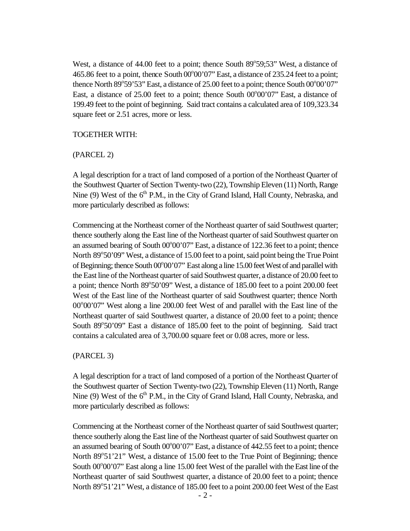West, a distance of 44.00 feet to a point; thence South 89°59;53" West, a distance of 465.86 feet to a point, thence South 00°00'07" East, a distance of 235.24 feet to a point; thence North  $89^{\circ}59'53''$  East, a distance of 25.00 feet to a point; thence South  $00^{\circ}00'07''$ East, a distance of  $25.00$  feet to a point; thence South  $00^{\circ}00'07'$  East, a distance of 199.49 feet to the point of beginning. Said tract contains a calculated area of 109,323.34 square feet or 2.51 acres, more or less.

#### TOGETHER WITH:

#### (PARCEL 2)

A legal description for a tract of land composed of a portion of the Northeast Quarter of the Southwest Quarter of Section Twenty-two (22), Township Eleven (11) North, Range Nine (9) West of the  $6<sup>th</sup>$  P.M., in the City of Grand Island, Hall County, Nebraska, and more particularly described as follows:

Commencing at the Northeast corner of the Northeast quarter of said Southwest quarter; thence southerly along the East line of the Northeast quarter of said Southwest quarter on an assumed bearing of South 00°00'07" East, a distance of 122.36 feet to a point; thence North 89°50'09" West, a distance of 15.00 feet to a point, said point being the True Point of Beginning; thence South 00°00'07" East along a line 15.00 feet West of and parallel with the East line of the Northeast quarter of said Southwest quarter, a distance of 20.00 feet to a point; thence North 89°50'09" West, a distance of 185.00 feet to a point 200.00 feet West of the East line of the Northeast quarter of said Southwest quarter; thence North 00°00'07" West along a line 200.00 feet West of and parallel with the East line of the Northeast quarter of said Southwest quarter, a distance of 20.00 feet to a point; thence South 89°50'09" East a distance of 185.00 feet to the point of beginning. Said tract contains a calculated area of 3,700.00 square feet or 0.08 acres, more or less.

### (PARCEL 3)

A legal description for a tract of land composed of a portion of the Northeast Quarter of the Southwest quarter of Section Twenty-two (22), Township Eleven (11) North, Range Nine  $(9)$  West of the  $6<sup>th</sup>$  P.M., in the City of Grand Island, Hall County, Nebraska, and more particularly described as follows:

Commencing at the Northeast corner of the Northeast quarter of said Southwest quarter; thence southerly along the East line of the Northeast quarter of said Southwest quarter on an assumed bearing of South 00°00'07" East, a distance of 442.55 feet to a point; thence North 89°51'21" West, a distance of 15.00 feet to the True Point of Beginning; thence South 00°00'07" East along a line 15.00 feet West of the parallel with the East line of the Northeast quarter of said Southwest quarter, a distance of 20.00 feet to a point; thence North 89°51'21" West, a distance of 185.00 feet to a point 200.00 feet West of the East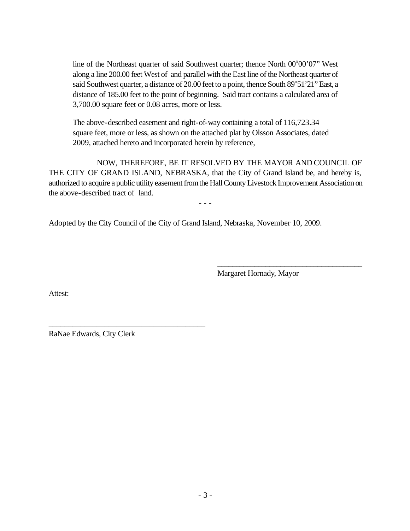line of the Northeast quarter of said Southwest quarter; thence North 00°00'07" West along a line 200.00 feet West of and parallel with the East line of the Northeast quarter of said Southwest quarter, a distance of 20.00 feet to a point, thence South 89°51'21" East, a distance of 185.00 feet to the point of beginning. Said tract contains a calculated area of 3,700.00 square feet or 0.08 acres, more or less.

The above-described easement and right-of-way containing a total of 116,723.34 square feet, more or less, as shown on the attached plat by Olsson Associates, dated 2009, attached hereto and incorporated herein by reference,

NOW, THEREFORE, BE IT RESOLVED BY THE MAYOR AND COUNCIL OF THE CITY OF GRAND ISLAND, NEBRASKA, that the City of Grand Island be, and hereby is, authorized to acquire a public utility easement fromthe Hall County Livestock Improvement Association on the above-described tract of land.

- - -

Adopted by the City Council of the City of Grand Island, Nebraska, November 10, 2009.

Margaret Hornady, Mayor

\_\_\_\_\_\_\_\_\_\_\_\_\_\_\_\_\_\_\_\_\_\_\_\_\_\_\_\_\_\_\_\_\_\_\_\_\_\_\_

Attest:

RaNae Edwards, City Clerk

\_\_\_\_\_\_\_\_\_\_\_\_\_\_\_\_\_\_\_\_\_\_\_\_\_\_\_\_\_\_\_\_\_\_\_\_\_\_\_